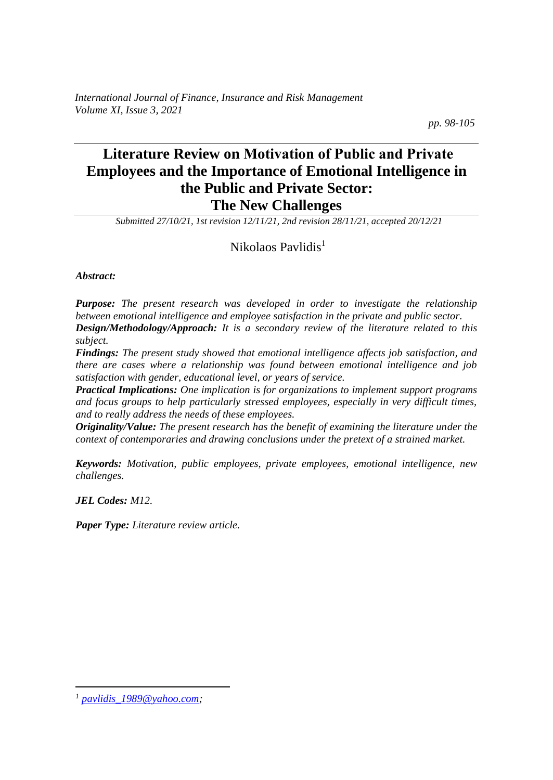*International Journal of Finance, Insurance and Risk Management Volume XI, Issue 3, 2021*

 *pp. 98-105*

# **Literature Review on Motivation οf Public and Private Employees and the Importance of Emotional Intelligence in the Public and Private Sector: The New Challenges**

*Submitted 27/10/21, 1st revision 12/11/21, 2nd revision 28/11/21, accepted 20/12/21*

#### Nikolaos Pavlidis<sup>1</sup>

*Abstract:*

*Purpose: The present research was developed in order to investigate the relationship between emotional intelligence and employee satisfaction in the private and public sector. Design/Methodology/Approach: It is a secondary review of the literature related to this subject.* 

*Findings: The present study showed that emotional intelligence affects job satisfaction, and there are cases where a relationship was found between emotional intelligence and job satisfaction with gender, educational level, or years of service.*

*Practical Implications: One implication is for organizations to implement support programs and focus groups to help particularly stressed employees, especially in very difficult times, and to really address the needs of these employees.*

*Originality/Value: The present research has the benefit of examining the literature under the context of contemporaries and drawing conclusions under the pretext of a strained market.* 

*Keywords: Motivation, public employees, private employees, emotional intelligence, new challenges.*

*JEL Codes: M12.*

*Paper Type: Literature review article.*

*<sup>1</sup> [pavlidis\\_1989@yahoo.com;](mailto:pavlidis_1989@yahoo.com)*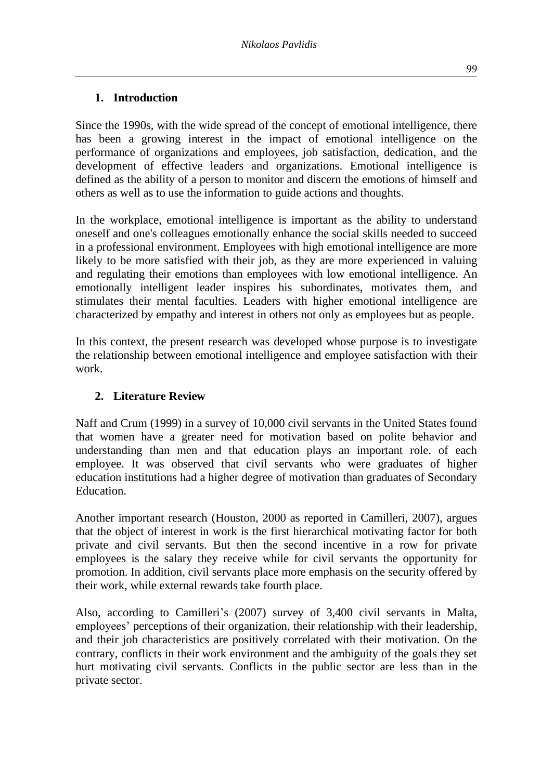#### **1. Introduction**

Since the 1990s, with the wide spread of the concept of emotional intelligence, there has been a growing interest in the impact of emotional intelligence on the performance of organizations and employees, job satisfaction, dedication, and the development of effective leaders and organizations. Emotional intelligence is defined as the ability of a person to monitor and discern the emotions of himself and others as well as to use the information to guide actions and thoughts.

In the workplace, emotional intelligence is important as the ability to understand oneself and one's colleagues emotionally enhance the social skills needed to succeed in a professional environment. Employees with high emotional intelligence are more likely to be more satisfied with their job, as they are more experienced in valuing and regulating their emotions than employees with low emotional intelligence. An emotionally intelligent leader inspires his subordinates, motivates them, and stimulates their mental faculties. Leaders with higher emotional intelligence are characterized by empathy and interest in others not only as employees but as people.

In this context, the present research was developed whose purpose is to investigate the relationship between emotional intelligence and employee satisfaction with their work.

#### **2. Literature Review**

Naff and Crum (1999) in a survey of 10,000 civil servants in the United States found that women have a greater need for motivation based on polite behavior and understanding than men and that education plays an important role. of each employee. It was observed that civil servants who were graduates of higher education institutions had a higher degree of motivation than graduates of Secondary Education.

Another important research (Houston, 2000 as reported in Camilleri, 2007), argues that the object of interest in work is the first hierarchical motivating factor for both private and civil servants. But then the second incentive in a row for private employees is the salary they receive while for civil servants the opportunity for promotion. In addition, civil servants place more emphasis on the security offered by their work, while external rewards take fourth place.

Also, according to Camilleri's (2007) survey of 3,400 civil servants in Malta, employees' perceptions of their organization, their relationship with their leadership, and their job characteristics are positively correlated with their motivation. On the contrary, conflicts in their work environment and the ambiguity of the goals they set hurt motivating civil servants. Conflicts in the public sector are less than in the private sector.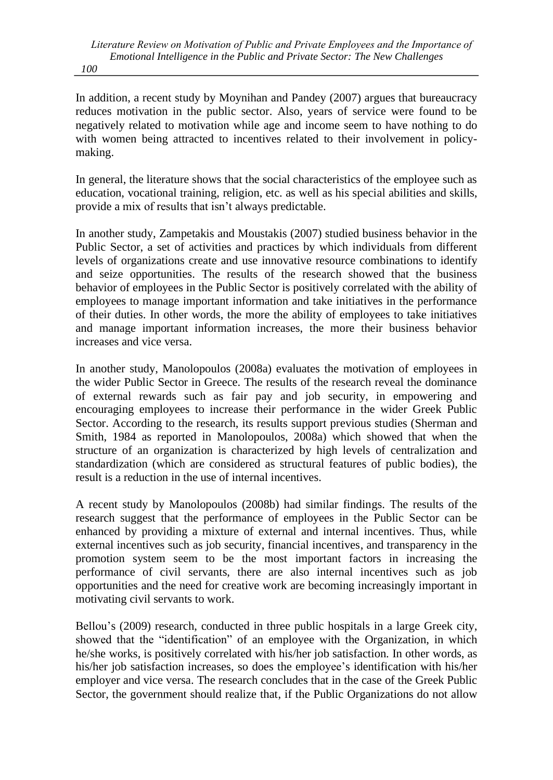In addition, a recent study by Moynihan and Pandey (2007) argues that bureaucracy reduces motivation in the public sector. Also, years of service were found to be negatively related to motivation while age and income seem to have nothing to do with women being attracted to incentives related to their involvement in policymaking.

In general, the literature shows that the social characteristics of the employee such as education, vocational training, religion, etc. as well as his special abilities and skills, provide a mix of results that isn't always predictable.

In another study, Zampetakis and Moustakis (2007) studied business behavior in the Public Sector, a set of activities and practices by which individuals from different levels of organizations create and use innovative resource combinations to identify and seize opportunities. The results of the research showed that the business behavior of employees in the Public Sector is positively correlated with the ability of employees to manage important information and take initiatives in the performance of their duties. In other words, the more the ability of employees to take initiatives and manage important information increases, the more their business behavior increases and vice versa.

In another study, Manolopoulos (2008a) evaluates the motivation of employees in the wider Public Sector in Greece. The results of the research reveal the dominance of external rewards such as fair pay and job security, in empowering and encouraging employees to increase their performance in the wider Greek Public Sector. According to the research, its results support previous studies (Sherman and Smith, 1984 as reported in Manolopoulos, 2008a) which showed that when the structure of an organization is characterized by high levels of centralization and standardization (which are considered as structural features of public bodies), the result is a reduction in the use of internal incentives.

A recent study by Manolopoulos (2008b) had similar findings. The results of the research suggest that the performance of employees in the Public Sector can be enhanced by providing a mixture of external and internal incentives. Thus, while external incentives such as job security, financial incentives, and transparency in the promotion system seem to be the most important factors in increasing the performance of civil servants, there are also internal incentives such as job opportunities and the need for creative work are becoming increasingly important in motivating civil servants to work.

Bellou's (2009) research, conducted in three public hospitals in a large Greek city, showed that the "identification" of an employee with the Organization, in which he/she works, is positively correlated with his/her job satisfaction. In other words, as his/her job satisfaction increases, so does the employee's identification with his/her employer and vice versa. The research concludes that in the case of the Greek Public Sector, the government should realize that, if the Public Organizations do not allow

*100*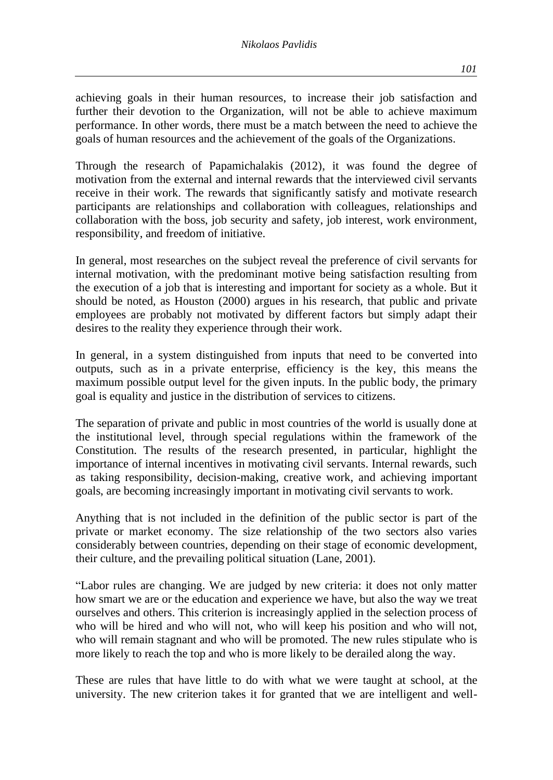achieving goals in their human resources, to increase their job satisfaction and further their devotion to the Organization, will not be able to achieve maximum performance. In other words, there must be a match between the need to achieve the goals of human resources and the achievement of the goals of the Organizations.

Through the research of Papamichalakis (2012), it was found the degree of motivation from the external and internal rewards that the interviewed civil servants receive in their work. The rewards that significantly satisfy and motivate research participants are relationships and collaboration with colleagues, relationships and collaboration with the boss, job security and safety, job interest, work environment, responsibility, and freedom of initiative.

In general, most researches on the subject reveal the preference of civil servants for internal motivation, with the predominant motive being satisfaction resulting from the execution of a job that is interesting and important for society as a whole. But it should be noted, as Houston (2000) argues in his research, that public and private employees are probably not motivated by different factors but simply adapt their desires to the reality they experience through their work.

In general, in a system distinguished from inputs that need to be converted into outputs, such as in a private enterprise, efficiency is the key, this means the maximum possible output level for the given inputs. In the public body, the primary goal is equality and justice in the distribution of services to citizens.

The separation of private and public in most countries of the world is usually done at the institutional level, through special regulations within the framework of the Constitution. The results of the research presented, in particular, highlight the importance of internal incentives in motivating civil servants. Internal rewards, such as taking responsibility, decision-making, creative work, and achieving important goals, are becoming increasingly important in motivating civil servants to work.

Anything that is not included in the definition of the public sector is part of the private or market economy. The size relationship of the two sectors also varies considerably between countries, depending on their stage of economic development, their culture, and the prevailing political situation (Lane, 2001).

"Labor rules are changing. We are judged by new criteria: it does not only matter how smart we are or the education and experience we have, but also the way we treat ourselves and others. This criterion is increasingly applied in the selection process of who will be hired and who will not, who will keep his position and who will not, who will remain stagnant and who will be promoted. The new rules stipulate who is more likely to reach the top and who is more likely to be derailed along the way.

These are rules that have little to do with what we were taught at school, at the university. The new criterion takes it for granted that we are intelligent and well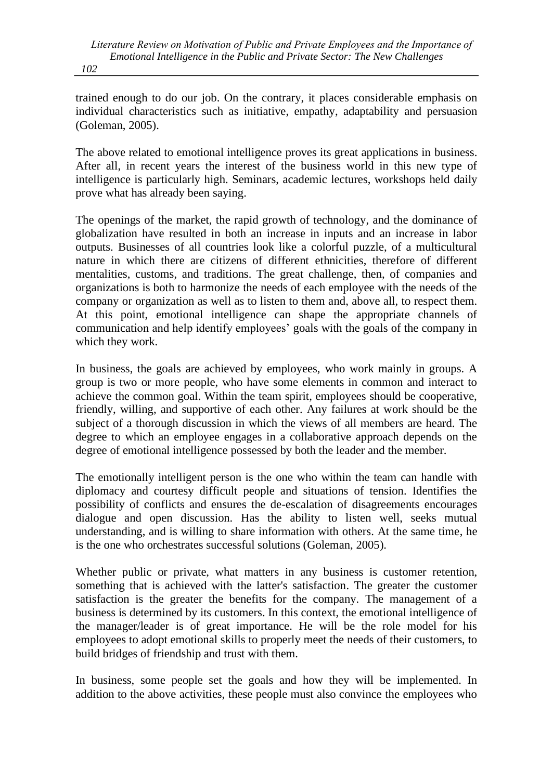trained enough to do our job. On the contrary, it places considerable emphasis on individual characteristics such as initiative, empathy, adaptability and persuasion (Goleman, 2005).

The above related to emotional intelligence proves its great applications in business. After all, in recent years the interest of the business world in this new type of intelligence is particularly high. Seminars, academic lectures, workshops held daily prove what has already been saying.

The openings of the market, the rapid growth of technology, and the dominance of globalization have resulted in both an increase in inputs and an increase in labor outputs. Businesses of all countries look like a colorful puzzle, of a multicultural nature in which there are citizens of different ethnicities, therefore of different mentalities, customs, and traditions. The great challenge, then, of companies and organizations is both to harmonize the needs of each employee with the needs of the company or organization as well as to listen to them and, above all, to respect them. At this point, emotional intelligence can shape the appropriate channels of communication and help identify employees' goals with the goals of the company in which they work.

In business, the goals are achieved by employees, who work mainly in groups. A group is two or more people, who have some elements in common and interact to achieve the common goal. Within the team spirit, employees should be cooperative, friendly, willing, and supportive of each other. Any failures at work should be the subject of a thorough discussion in which the views of all members are heard. The degree to which an employee engages in a collaborative approach depends on the degree of emotional intelligence possessed by both the leader and the member.

The emotionally intelligent person is the one who within the team can handle with diplomacy and courtesy difficult people and situations of tension. Identifies the possibility of conflicts and ensures the de-escalation of disagreements encourages dialogue and open discussion. Has the ability to listen well, seeks mutual understanding, and is willing to share information with others. At the same time, he is the one who orchestrates successful solutions (Goleman, 2005).

Whether public or private, what matters in any business is customer retention, something that is achieved with the latter's satisfaction. The greater the customer satisfaction is the greater the benefits for the company. The management of a business is determined by its customers. In this context, the emotional intelligence of the manager/leader is of great importance. He will be the role model for his employees to adopt emotional skills to properly meet the needs of their customers, to build bridges of friendship and trust with them.

In business, some people set the goals and how they will be implemented. In addition to the above activities, these people must also convince the employees who

*102*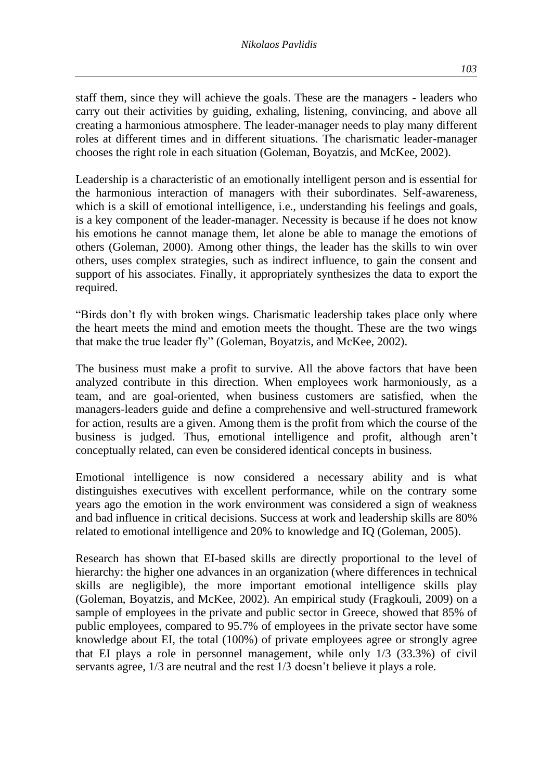staff them, since they will achieve the goals. These are the managers - leaders who carry out their activities by guiding, exhaling, listening, convincing, and above all creating a harmonious atmosphere. The leader-manager needs to play many different roles at different times and in different situations. The charismatic leader-manager chooses the right role in each situation (Goleman, Boyatzis, and McKee, 2002).

Leadership is a characteristic of an emotionally intelligent person and is essential for the harmonious interaction of managers with their subordinates. Self-awareness, which is a skill of emotional intelligence, i.e., understanding his feelings and goals, is a key component of the leader-manager. Necessity is because if he does not know his emotions he cannot manage them, let alone be able to manage the emotions of others (Goleman, 2000). Among other things, the leader has the skills to win over others, uses complex strategies, such as indirect influence, to gain the consent and support of his associates. Finally, it appropriately synthesizes the data to export the required.

"Birds don't fly with broken wings. Charismatic leadership takes place only where the heart meets the mind and emotion meets the thought. These are the two wings that make the true leader fly" (Goleman, Boyatzis, and McKee, 2002).

The business must make a profit to survive. All the above factors that have been analyzed contribute in this direction. When employees work harmoniously, as a team, and are goal-oriented, when business customers are satisfied, when the managers-leaders guide and define a comprehensive and well-structured framework for action, results are a given. Among them is the profit from which the course of the business is judged. Thus, emotional intelligence and profit, although aren't conceptually related, can even be considered identical concepts in business.

Emotional intelligence is now considered a necessary ability and is what distinguishes executives with excellent performance, while on the contrary some years ago the emotion in the work environment was considered a sign of weakness and bad influence in critical decisions. Success at work and leadership skills are 80% related to emotional intelligence and 20% to knowledge and IQ (Goleman, 2005).

Research has shown that EI-based skills are directly proportional to the level of hierarchy: the higher one advances in an organization (where differences in technical skills are negligible), the more important emotional intelligence skills play (Goleman, Boyatzis, and McKee, 2002). An empirical study (Fragkouli, 2009) on a sample of employees in the private and public sector in Greece, showed that 85% of public employees, compared to 95.7% of employees in the private sector have some knowledge about EI, the total (100%) of private employees agree or strongly agree that EI plays a role in personnel management, while only 1/3 (33.3%) of civil servants agree, 1/3 are neutral and the rest 1/3 doesn't believe it plays a role.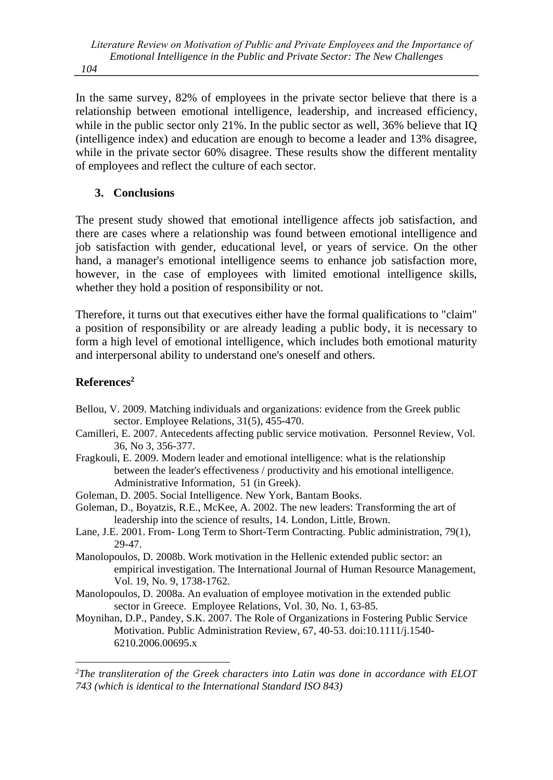*104*

In the same survey, 82% of employees in the private sector believe that there is a relationship between emotional intelligence, leadership, and increased efficiency, while in the public sector only 21%. In the public sector as well, 36% believe that IQ (intelligence index) and education are enough to become a leader and 13% disagree, while in the private sector 60% disagree. These results show the different mentality of employees and reflect the culture of each sector.

### **3. Conclusions**

The present study showed that emotional intelligence affects job satisfaction, and there are cases where a relationship was found between emotional intelligence and job satisfaction with gender, educational level, or years of service. On the other hand, a manager's emotional intelligence seems to enhance job satisfaction more, however, in the case of employees with limited emotional intelligence skills, whether they hold a position of responsibility or not.

Therefore, it turns out that executives either have the formal qualifications to "claim" a position of responsibility or are already leading a public body, it is necessary to form a high level of emotional intelligence, which includes both emotional maturity and interpersonal ability to understand one's oneself and others.

## **References<sup>2</sup>**

- Bellou, V. 2009. Matching individuals and organizations: evidence from the Greek public sector. Employee Relations, 31(5), 455-470.
- Camilleri, E. 2007. Antecedents affecting public service motivation. Personnel Review, Vol. 36, No 3, 356-377.
- Fragkouli, E. 2009. Modern leader and emotional intelligence: what is the relationship between the leader's effectiveness / productivity and his emotional intelligence. Administrative Information, 51 (in Greek).
- Goleman, D. 2005. Social Intelligence. New York, Bantam Books.
- Goleman, D., Boyatzis, R.E., McKee, A. 2002. The new leaders: Transforming the art of leadership into the science of results, 14. London, Little, Brown.
- Lane, J.E. 2001. From- Long Term to Short-Term Contracting. Public administration, 79(1), 29-47.
- Manolopoulos, D. 2008b. Work motivation in the Hellenic extended public sector: an empirical investigation. The International Journal of Human Resource Management, Vol. 19, No. 9, 1738-1762.
- Manolopoulos, D. 2008a. An evaluation of employee motivation in the extended public sector in Greece. Employee Relations, Vol. 30, No. 1, 63-85.
- Moynihan, D.P., Pandey, S.K. 2007. The Role of Organizations in Fostering Public Service Motivation. Public Administration Review, 67, 40-53. doi[:10.1111/j.1540-](about:blank) [6210.2006.00695.x](about:blank)

*<sup>2</sup>The transliteration of the Greek characters into Latin was done in accordance with ELOT 743 (which is identical to the International Standard ISO 843)*